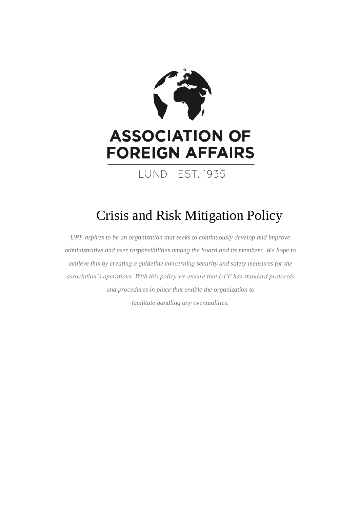

# Crisis and Risk Mitigation Policy

*UPF aspires to be an organization that seeks to continuously develop and improve administrative and user responsibilities among the board and its members. We hope to achieve this by creating a guideline concerning security and safety measures for the association's operations. With this policy we ensure that UPF has standard protocols and procedures in place that enable the organization to facilitate handling any eventualities.*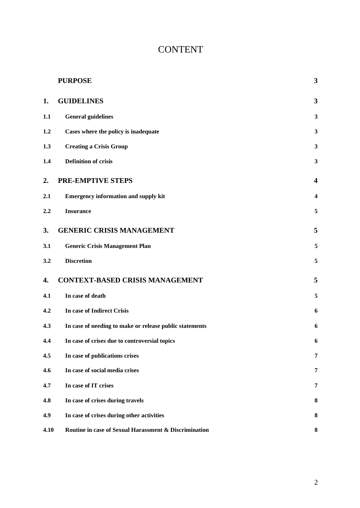# **CONTENT**

|      | <b>PURPOSE</b>                                          | 3                       |
|------|---------------------------------------------------------|-------------------------|
| 1.   | <b>GUIDELINES</b>                                       | 3                       |
| 1.1  | <b>General guidelines</b>                               | 3                       |
| 1.2  | Cases where the policy is inadequate                    | $\overline{\mathbf{3}}$ |
| 1.3  | <b>Creating a Crisis Group</b>                          | 3                       |
| 1.4  | <b>Definition of crisis</b>                             | 3                       |
| 2.   | <b>PRE-EMPTIVE STEPS</b>                                | $\overline{\mathbf{4}}$ |
| 2.1  | <b>Emergency information and supply kit</b>             | $\overline{\mathbf{4}}$ |
| 2.2  | <b>Insurance</b>                                        | 5                       |
| 3.   | <b>GENERIC CRISIS MANAGEMENT</b>                        | 5                       |
| 3.1  | <b>Generic Crisis Management Plan</b>                   | 5                       |
| 3.2  | <b>Discretion</b>                                       | 5                       |
| 4.   | <b>CONTEXT-BASED CRISIS MANAGEMENT</b>                  | 5                       |
| 4.1  | In case of death                                        | 5                       |
| 4.2  | In case of Indirect Crisis                              | 6                       |
| 4.3  | In case of needing to make or release public statements | 6                       |
| 4.4  | In case of crises due to controversial topics           | 6                       |
| 4.5  | In case of publications crises                          | 7                       |
| 4.6  | In case of social media crises                          | 7                       |
| 4.7  | In case of IT crises                                    | 7                       |
| 4.8  | In case of crises during travels                        | 8                       |
| 4.9  | In case of crises during other activities               | 8                       |
| 4.10 | Routine in case of Sexual Harassment & Discrimination   | 8                       |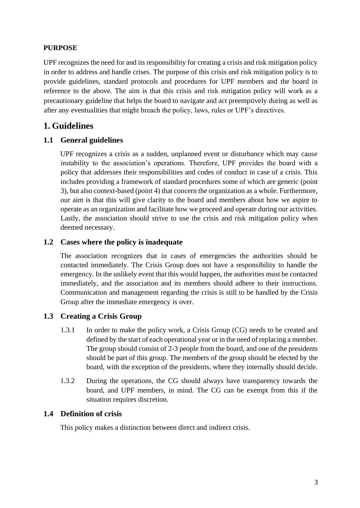# **PURPOSE**

UPF recognizes the need for and its responsibility for creating a crisis and risk mitigation policy in order to address and handle crises. The purpose of this crisis and risk mitigation policy is to provide guidelines, standard protocols and procedures for UPF members and the board in reference to the above. The aim is that this crisis and risk mitigation policy will work as a precautionary guideline that helps the board to navigate and act preemptively during as well as after any eventualities that might breach the policy, laws, rules or UPF's directives.

# <span id="page-2-0"></span>**1. Guidelines**

# <span id="page-2-1"></span>**1.1 General guidelines**

UPF recognizes a crisis as a sudden, unplanned event or disturbance which may cause instability to the association's operations. Therefore, UPF provides the board with a policy that addresses their responsibilities and codes of conduct in case of a crisis. This includes providing a framework of standard procedures some of which are generic (point 3), but also context-based (point 4) that concern the organization as a whole. Furthermore, our aim is that this will give clarity to the board and members about how we aspire to operate as an organization and facilitate how we proceed and operate during our activities. Lastly, the association should strive to use the crisis and risk mitigation policy when deemed necessary.

## <span id="page-2-2"></span>**1.2 Cases where the policy is inadequate**

The association recognizes that in cases of emergencies the authorities should be contacted immediately. The Crisis Group does not have a responsibility to handle the emergency. In the unlikely event that this would happen, the authorities must be contacted immediately, and the association and its members should adhere to their instructions. Communication and management regarding the crisis is still to be handled by the Crisis Group after the immediate emergency is over.

## <span id="page-2-3"></span>**1.3 Creating a Crisis Group**

- 1.3.1 In order to make the policy work, a Crisis Group (CG) needs to be created and defined by the start of each operational year or in the need of replacing a member. The group should consist of 2-3 people from the board, and one of the presidents should be part of this group. The members of the group should be elected by the board, with the exception of the presidents, where they internally should decide.
- 1.3.2 During the operations, the CG should always have transparency towards the board, and UPF members, in mind. The CG can be exempt from this if the situation requires discretion.

## <span id="page-2-4"></span>**1.4 Definition of crisis**

This policy makes a distinction between direct and indirect crisis.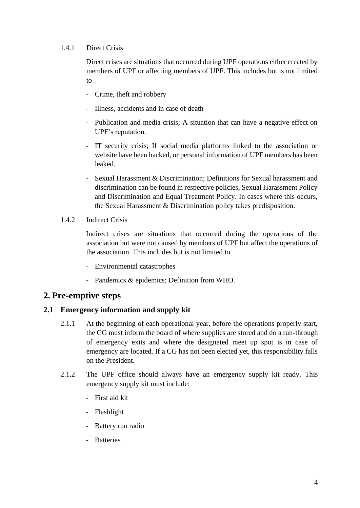#### 1.4.1 Direct Crisis

Direct crises are situations that occurred during UPF operations either created by members of UPF or affecting members of UPF. This includes but is not limited to

- Crime, theft and robbery
- Illness, accidents and in case of death
- Publication and media crisis; A situation that can have a negative effect on UPF's reputation.
- IT security crisis; If social media platforms linked to the association or website have been hacked, or personal information of UPF members has been leaked.
- Sexual Harassment & Discrimination; Definitions for Sexual harassment and discrimination can be found in respective policies, Sexual Harassment Policy and Discrimination and Equal Treatment Policy. In cases where this occurs, the Sexual Harassment & Discrimination policy takes predisposition.
- 1.4.2 Indirect Crisis

Indirect crises are situations that occurred during the operations of the association but were not caused by members of UPF but affect the operations of the association. This includes but is not limited to

- Environmental catastrophes
- Pandemics & epidemics; Definition from WHO.

## <span id="page-3-0"></span>**2. Pre-emptive steps**

#### <span id="page-3-1"></span>**2.1 Emergency information and supply kit**

- 2.1.1 At the beginning of each operational year, before the operations properly start, the CG must inform the board of where supplies are stored and do a run-through of emergency exits and where the designated meet up spot is in case of emergency are located. If a CG has not been elected yet, this responsibility falls on the President.
- 2.1.2 The UPF office should always have an emergency supply kit ready. This emergency supply kit must include:
	- First aid kit
	- Flashlight
	- Battery run radio
	- Batteries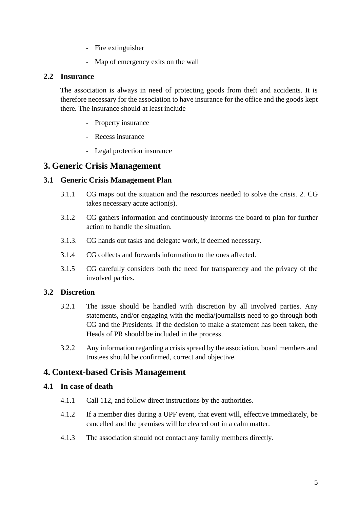- Fire extinguisher
- Map of emergency exits on the wall

#### <span id="page-4-0"></span>**2.2 Insurance**

The association is always in need of protecting goods from theft and accidents. It is therefore necessary for the association to have insurance for the office and the goods kept there. The insurance should at least include

- Property insurance
- Recess insurance
- Legal protection insurance

# <span id="page-4-1"></span>**3. Generic Crisis Management**

## <span id="page-4-2"></span>**3.1 Generic Crisis Management Plan**

- 3.1.1 CG maps out the situation and the resources needed to solve the crisis. 2. CG takes necessary acute action(s).
- 3.1.2 CG gathers information and continuously informs the board to plan for further action to handle the situation.
- 3.1.3. CG hands out tasks and delegate work, if deemed necessary.
- 3.1.4 CG collects and forwards information to the ones affected.
- 3.1.5 CG carefully considers both the need for transparency and the privacy of the involved parties.

## <span id="page-4-3"></span>**3.2 Discretion**

- 3.2.1 The issue should be handled with discretion by all involved parties. Any statements, and/or engaging with the media/journalists need to go through both CG and the Presidents. If the decision to make a statement has been taken, the Heads of PR should be included in the process.
- 3.2.2 Any information regarding a crisis spread by the association, board members and trustees should be confirmed, correct and objective.

# <span id="page-4-4"></span>**4. Context-based Crisis Management**

## <span id="page-4-5"></span>**4.1 In case of death**

- 4.1.1 Call 112, and follow direct instructions by the authorities.
- 4.1.2 If a member dies during a UPF event, that event will, effective immediately, be cancelled and the premises will be cleared out in a calm matter.
- 4.1.3 The association should not contact any family members directly.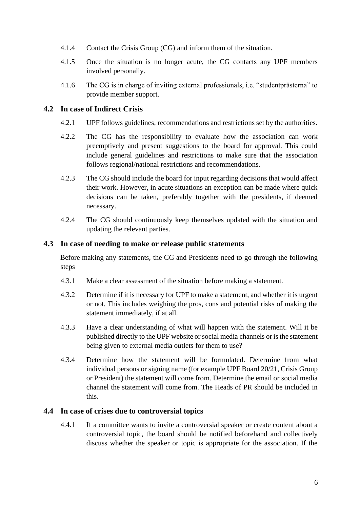- 4.1.4 Contact the Crisis Group (CG) and inform them of the situation.
- 4.1.5 Once the situation is no longer acute, the CG contacts any UPF members involved personally.
- 4.1.6 The CG is in charge of inviting external professionals, i.e. "studentprästerna" to provide member support.

#### <span id="page-5-0"></span>**4.2 In case of Indirect Crisis**

- 4.2.1 UPF follows guidelines, recommendations and restrictions set by the authorities.
- 4.2.2 The CG has the responsibility to evaluate how the association can work preemptively and present suggestions to the board for approval. This could include general guidelines and restrictions to make sure that the association follows regional/national restrictions and recommendations.
- 4.2.3 The CG should include the board for input regarding decisions that would affect their work. However, in acute situations an exception can be made where quick decisions can be taken, preferably together with the presidents, if deemed necessary.
- 4.2.4 The CG should continuously keep themselves updated with the situation and updating the relevant parties.

#### <span id="page-5-1"></span>**4.3 In case of needing to make or release public statements**

Before making any statements, the CG and Presidents need to go through the following steps

- 4.3.1 Make a clear assessment of the situation before making a statement.
- 4.3.2 Determine if it is necessary for UPF to make a statement, and whether it is urgent or not. This includes weighing the pros, cons and potential risks of making the statement immediately, if at all.
- 4.3.3 Have a clear understanding of what will happen with the statement. Will it be published directly to the UPF website or social media channels or is the statement being given to external media outlets for them to use?
- 4.3.4 Determine how the statement will be formulated. Determine from what individual persons or signing name (for example UPF Board 20/21, Crisis Group or President) the statement will come from. Determine the email or social media channel the statement will come from. The Heads of PR should be included in this.

#### <span id="page-5-2"></span>**4.4 In case of crises due to controversial topics**

4.4.1 If a committee wants to invite a controversial speaker or create content about a controversial topic, the board should be notified beforehand and collectively discuss whether the speaker or topic is appropriate for the association. If the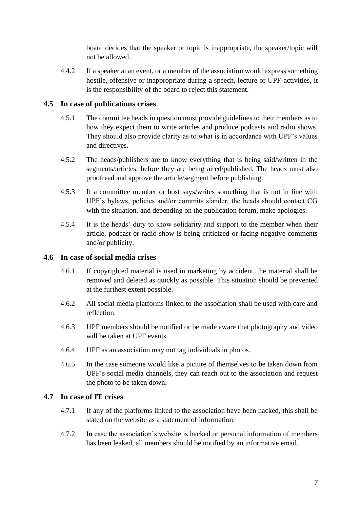board decides that the speaker or topic is inappropriate, the speaker/topic will not be allowed.

4.4.2 If a speaker at an event, or a member of the association would express something hostile, offensive or inappropriate during a speech, lecture or UPF-activities, it is the responsibility of the board to reject this statement.

# <span id="page-6-0"></span>**4.5 In case of publications crises**

- 4.5.1 The committee heads in question must provide guidelines to their members as to how they expect them to write articles and produce podcasts and radio shows. They should also provide clarity as to what is in accordance with UPF's values and directives.
- 4.5.2 The heads/publishers are to know everything that is being said/written in the segments/articles, before they are being aired/published. The heads must also proofread and approve the article/segment before publishing.
- 4.5.3 If a committee member or host says/writes something that is not in line with UPF's bylaws, policies and/or commits slander, the heads should contact CG with the situation, and depending on the publication forum, make apologies.
- 4.5.4 It is the heads' duty to show solidarity and support to the member when their article, podcast or radio show is being criticized or facing negative comments and/or publicity.

## <span id="page-6-1"></span>**4.6 In case of social media crises**

- 4.6.1 If copyrighted material is used in marketing by accident, the material shall be removed and deleted as quickly as possible. This situation should be prevented at the furthest extent possible.
- 4.6.2 All social media platforms linked to the association shall be used with care and reflection.
- 4.6.3 UPF members should be notified or be made aware that photography and video will be taken at UPF events.
- 4.6.4 UPF as an association may not tag individuals in photos.
- 4.6.5 In the case someone would like a picture of themselves to be taken down from UPF's social media channels, they can reach out to the association and request the photo to be taken down.

## <span id="page-6-2"></span>**4.7 In case of IT crises**

- 4.7.1 If any of the platforms linked to the association have been hacked, this shall be stated on the website as a statement of information.
- 4.7.2 In case the association's website is hacked or personal information of members has been leaked, all members should be notified by an informative email.